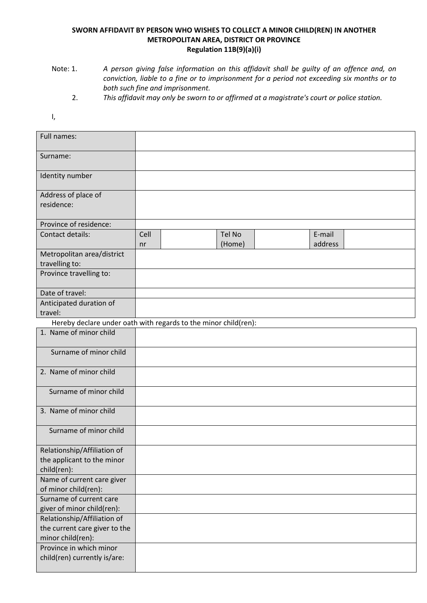## **SWORN AFFIDAVIT BY PERSON WHO WISHES TO COLLECT A MINOR CHILD(REN) IN ANOTHER METROPOLITAN AREA, DISTRICT OR PROVINCE Regulation 11B(9)(a)(i)**

- Note: 1. *A person giving false information on this affidavit shall be guilty of an offence and, on conviction, liable to a fine or to imprisonment for a period not exceeding six months or to both such fine and imprisonment.*
	- 2. *This affidavit may only be sworn to or affirmed at a magistrate's court or police station.*
- I,

| Full names:                                                     |      |        |         |  |
|-----------------------------------------------------------------|------|--------|---------|--|
| Surname:                                                        |      |        |         |  |
| Identity number                                                 |      |        |         |  |
| Address of place of                                             |      |        |         |  |
| residence:                                                      |      |        |         |  |
| Province of residence:                                          |      |        |         |  |
| Contact details:                                                | Cell | Tel No | E-mail  |  |
|                                                                 | nr   | (Home) | address |  |
| Metropolitan area/district                                      |      |        |         |  |
| travelling to:                                                  |      |        |         |  |
| Province travelling to:                                         |      |        |         |  |
| Date of travel:                                                 |      |        |         |  |
| Anticipated duration of                                         |      |        |         |  |
| travel:                                                         |      |        |         |  |
| Hereby declare under oath with regards to the minor child(ren): |      |        |         |  |
| 1. Name of minor child                                          |      |        |         |  |
| Surname of minor child                                          |      |        |         |  |
| 2. Name of minor child                                          |      |        |         |  |
| Surname of minor child                                          |      |        |         |  |
| 3. Name of minor child                                          |      |        |         |  |
| Surname of minor child                                          |      |        |         |  |
| Relationship/Affiliation of                                     |      |        |         |  |
| the applicant to the minor                                      |      |        |         |  |
| child(ren):                                                     |      |        |         |  |
| Name of current care giver<br>of minor child(ren):              |      |        |         |  |
| Surname of current care                                         |      |        |         |  |
| giver of minor child(ren):                                      |      |        |         |  |
| Relationship/Affiliation of                                     |      |        |         |  |
| the current care giver to the                                   |      |        |         |  |
| minor child(ren):                                               |      |        |         |  |
| Province in which minor                                         |      |        |         |  |
| child(ren) currently is/are:                                    |      |        |         |  |
|                                                                 |      |        |         |  |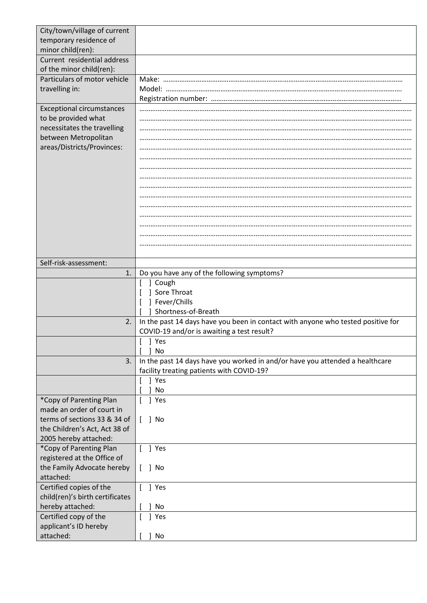| City/town/village of current<br>temporary residence of  |                                                                                                                           |  |  |  |  |
|---------------------------------------------------------|---------------------------------------------------------------------------------------------------------------------------|--|--|--|--|
| minor child(ren):                                       |                                                                                                                           |  |  |  |  |
| Current residential address<br>of the minor child(ren): |                                                                                                                           |  |  |  |  |
| Particulars of motor vehicle<br>travelling in:          | Model:                                                                                                                    |  |  |  |  |
|                                                         |                                                                                                                           |  |  |  |  |
| <b>Exceptional circumstances</b><br>to be provided what |                                                                                                                           |  |  |  |  |
| necessitates the travelling                             |                                                                                                                           |  |  |  |  |
| between Metropolitan<br>areas/Districts/Provinces:      |                                                                                                                           |  |  |  |  |
|                                                         |                                                                                                                           |  |  |  |  |
|                                                         |                                                                                                                           |  |  |  |  |
|                                                         |                                                                                                                           |  |  |  |  |
|                                                         |                                                                                                                           |  |  |  |  |
|                                                         |                                                                                                                           |  |  |  |  |
|                                                         |                                                                                                                           |  |  |  |  |
|                                                         |                                                                                                                           |  |  |  |  |
| Self-risk-assessment:                                   |                                                                                                                           |  |  |  |  |
| 1.                                                      | Do you have any of the following symptoms?                                                                                |  |  |  |  |
|                                                         | ] Cough<br>Sore Throat                                                                                                    |  |  |  |  |
|                                                         | ] Fever/Chills                                                                                                            |  |  |  |  |
|                                                         | Shortness-of-Breath                                                                                                       |  |  |  |  |
| 2.                                                      | In the past 14 days have you been in contact with anyone who tested positive for                                          |  |  |  |  |
|                                                         | COVID-19 and/or is awaiting a test result?                                                                                |  |  |  |  |
|                                                         | J Yes<br><b>No</b>                                                                                                        |  |  |  |  |
| 3.                                                      | In the past 14 days have you worked in and/or have you attended a healthcare<br>facility treating patients with COVID-19? |  |  |  |  |
|                                                         | ] Yes                                                                                                                     |  |  |  |  |
|                                                         | No                                                                                                                        |  |  |  |  |
| *Copy of Parenting Plan<br>made an order of court in    | ] Yes                                                                                                                     |  |  |  |  |
| terms of sections 33 & 34 of                            | ] No                                                                                                                      |  |  |  |  |
| the Children's Act, Act 38 of<br>2005 hereby attached:  |                                                                                                                           |  |  |  |  |
| *Copy of Parenting Plan                                 | J Yes<br>$\Gamma$                                                                                                         |  |  |  |  |
| registered at the Office of                             |                                                                                                                           |  |  |  |  |
| the Family Advocate hereby<br>attached:                 | ] No                                                                                                                      |  |  |  |  |
| Certified copies of the                                 | ] Yes                                                                                                                     |  |  |  |  |
| child(ren)'s birth certificates<br>hereby attached:     | No                                                                                                                        |  |  |  |  |
| Certified copy of the                                   | ] Yes                                                                                                                     |  |  |  |  |
| applicant's ID hereby                                   |                                                                                                                           |  |  |  |  |
| attached:                                               | No                                                                                                                        |  |  |  |  |